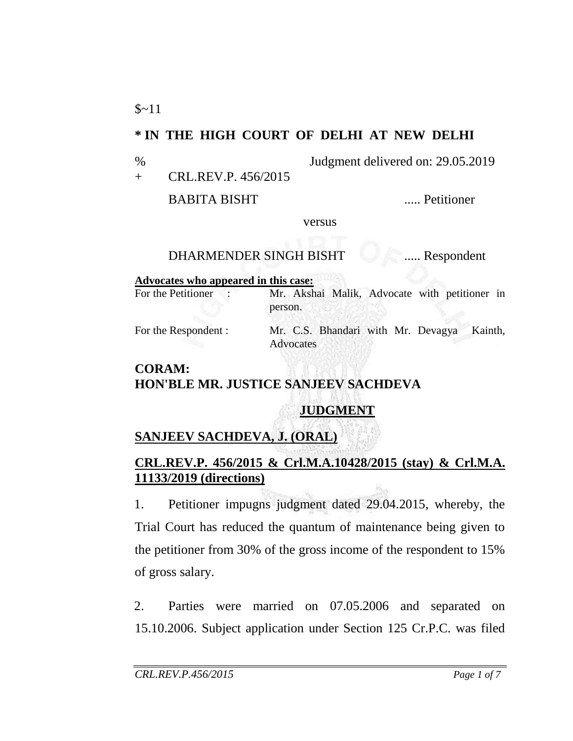## **\* IN THE HIGH COURT OF DELHI AT NEW DELHI**

% Judgment delivered on: 29.05.2019

+ CRL.REV.P. 456/2015

BABITA BISHT ..... Petitioner

versus

## DHARMENDER SINGH BISHT ..... Respondent

#### **Advocates who appeared in this case:**

For the Petitioner : Mr. Akshai Malik, Advocate with petitioner in person.

For the Respondent : Mr. C.S. Bhandari with Mr. Devagya Kainth, **Advocates** 

### **CORAM: HON'BLE MR. JUSTICE SANJEEV SACHDEVA**

# **JUDGMENT**

# **SANJEEV SACHDEVA, J. (ORAL)**

## **CRL.REV.P. 456/2015 & Crl.M.A.10428/2015 (stay) & Crl.M.A. 11133/2019 (directions)**

1. Petitioner impugns judgment dated 29.04.2015, whereby, the Trial Court has reduced the quantum of maintenance being given to the petitioner from 30% of the gross income of the respondent to 15% of gross salary.

2. Parties were married on 07.05.2006 and separated on 15.10.2006. Subject application under Section 125 Cr.P.C. was filed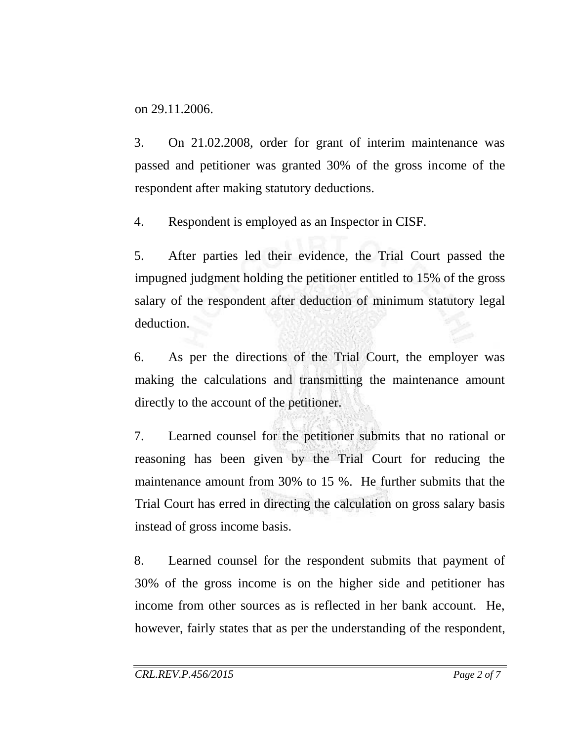on 29.11.2006.

3. On 21.02.2008, order for grant of interim maintenance was passed and petitioner was granted 30% of the gross income of the respondent after making statutory deductions.

4. Respondent is employed as an Inspector in CISF.

5. After parties led their evidence, the Trial Court passed the impugned judgment holding the petitioner entitled to 15% of the gross salary of the respondent after deduction of minimum statutory legal deduction.

6. As per the directions of the Trial Court, the employer was making the calculations and transmitting the maintenance amount directly to the account of the petitioner.

7. Learned counsel for the petitioner submits that no rational or reasoning has been given by the Trial Court for reducing the maintenance amount from 30% to 15 %. He further submits that the Trial Court has erred in directing the calculation on gross salary basis instead of gross income basis.

8. Learned counsel for the respondent submits that payment of 30% of the gross income is on the higher side and petitioner has income from other sources as is reflected in her bank account. He, however, fairly states that as per the understanding of the respondent,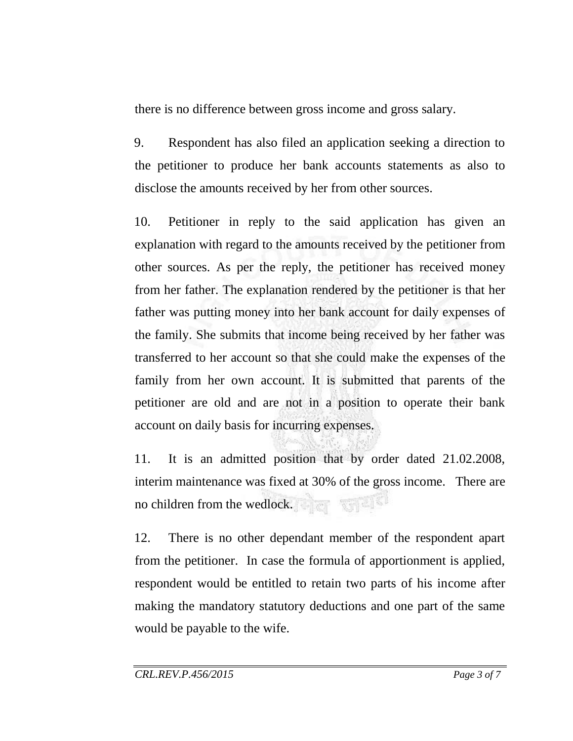there is no difference between gross income and gross salary.

9. Respondent has also filed an application seeking a direction to the petitioner to produce her bank accounts statements as also to disclose the amounts received by her from other sources.

10. Petitioner in reply to the said application has given an explanation with regard to the amounts received by the petitioner from other sources. As per the reply, the petitioner has received money from her father. The explanation rendered by the petitioner is that her father was putting money into her bank account for daily expenses of the family. She submits that income being received by her father was transferred to her account so that she could make the expenses of the family from her own account. It is submitted that parents of the petitioner are old and are not in a position to operate their bank account on daily basis for incurring expenses.

11. It is an admitted position that by order dated 21.02.2008, interim maintenance was fixed at 30% of the gross income. There are no children from the wedlock.

12. There is no other dependant member of the respondent apart from the petitioner. In case the formula of apportionment is applied, respondent would be entitled to retain two parts of his income after making the mandatory statutory deductions and one part of the same would be payable to the wife.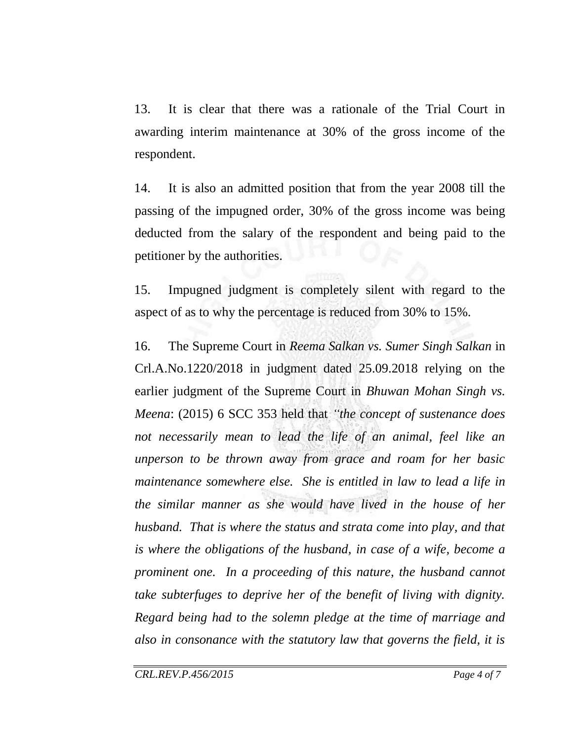13. It is clear that there was a rationale of the Trial Court in awarding interim maintenance at 30% of the gross income of the respondent.

14. It is also an admitted position that from the year 2008 till the passing of the impugned order, 30% of the gross income was being deducted from the salary of the respondent and being paid to the petitioner by the authorities.

15. Impugned judgment is completely silent with regard to the aspect of as to why the percentage is reduced from 30% to 15%.

16. The Supreme Court in *Reema Salkan vs. Sumer Singh Salkan* in Crl.A.No.1220/2018 in judgment dated 25.09.2018 relying on the earlier judgment of the Supreme Court in *Bhuwan Mohan Singh vs. Meena*: (2015) 6 SCC 353 held that *"the concept of sustenance does not necessarily mean to lead the life of an animal, feel like an unperson to be thrown away from grace and roam for her basic maintenance somewhere else. She is entitled in law to lead a life in the similar manner as she would have lived in the house of her husband. That is where the status and strata come into play, and that is where the obligations of the husband, in case of a wife, become a prominent one. In a proceeding of this nature, the husband cannot take subterfuges to deprive her of the benefit of living with dignity. Regard being had to the solemn pledge at the time of marriage and also in consonance with the statutory law that governs the field, it is*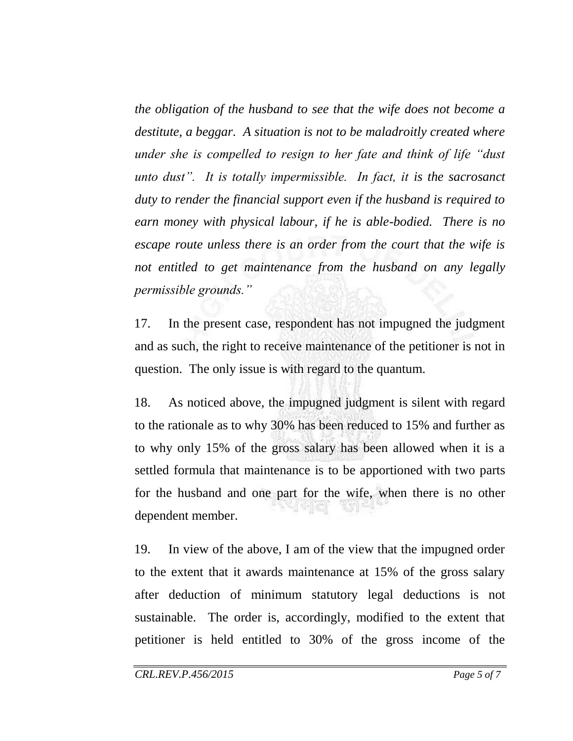*the obligation of the husband to see that the wife does not become a destitute, a beggar. A situation is not to be maladroitly created where under she is compelled to resign to her fate and think of life "dust unto dust". It is totally impermissible. In fact, it is the sacrosanct duty to render the financial support even if the husband is required to earn money with physical labour, if he is able-bodied. There is no escape route unless there is an order from the court that the wife is not entitled to get maintenance from the husband on any legally permissible grounds."*

17. In the present case, respondent has not impugned the judgment and as such, the right to receive maintenance of the petitioner is not in question. The only issue is with regard to the quantum.

18. As noticed above, the impugned judgment is silent with regard to the rationale as to why 30% has been reduced to 15% and further as to why only 15% of the gross salary has been allowed when it is a settled formula that maintenance is to be apportioned with two parts for the husband and one part for the wife, when there is no other dependent member.

19. In view of the above, I am of the view that the impugned order to the extent that it awards maintenance at 15% of the gross salary after deduction of minimum statutory legal deductions is not sustainable. The order is, accordingly, modified to the extent that petitioner is held entitled to 30% of the gross income of the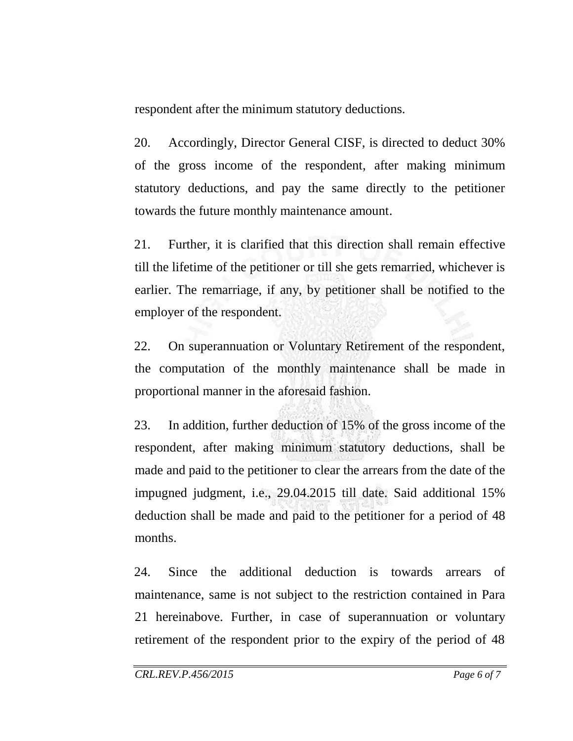respondent after the minimum statutory deductions.

20. Accordingly, Director General CISF, is directed to deduct 30% of the gross income of the respondent, after making minimum statutory deductions, and pay the same directly to the petitioner towards the future monthly maintenance amount.

21. Further, it is clarified that this direction shall remain effective till the lifetime of the petitioner or till she gets remarried, whichever is earlier. The remarriage, if any, by petitioner shall be notified to the employer of the respondent.

22. On superannuation or Voluntary Retirement of the respondent, the computation of the monthly maintenance shall be made in proportional manner in the aforesaid fashion.

23. In addition, further deduction of 15% of the gross income of the respondent, after making minimum statutory deductions, shall be made and paid to the petitioner to clear the arrears from the date of the impugned judgment, i.e., 29.04.2015 till date. Said additional 15% deduction shall be made and paid to the petitioner for a period of 48 months.

24. Since the additional deduction is towards arrears of maintenance, same is not subject to the restriction contained in Para 21 hereinabove. Further, in case of superannuation or voluntary retirement of the respondent prior to the expiry of the period of 48